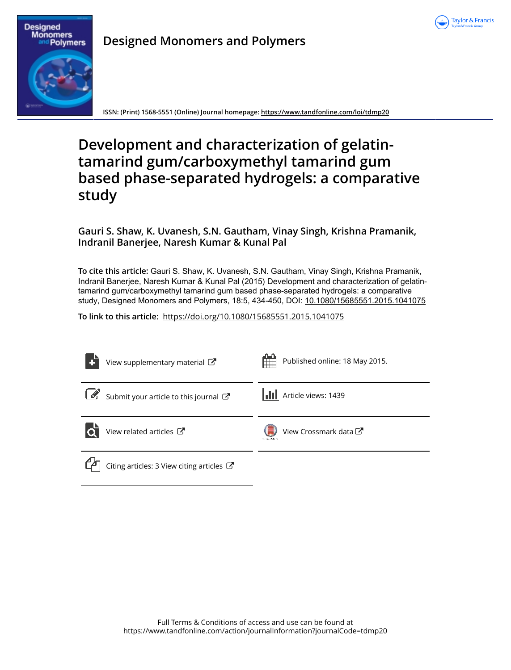

## **Designed Monomers and Polymers**



**ISSN: (Print) 1568-5551 (Online) Journal homepage: https://www.tandfonline.com/loi/tdmp20**

# **Development and characterization of gelatintamarind gum/carboxymethyl tamarind gum based phase-separated hydrogels: a comparative study**

**Gauri S. Shaw, K. Uvanesh, S.N. Gautham, Vinay Singh, Krishna Pramanik, Indranil Banerjee, Naresh Kumar & Kunal Pal**

**To cite this article:** Gauri S. Shaw, K. Uvanesh, S.N. Gautham, Vinay Singh, Krishna Pramanik, Indranil Banerjee, Naresh Kumar & Kunal Pal (2015) Development and characterization of gelatintamarind gum/carboxymethyl tamarind gum based phase-separated hydrogels: a comparative study, Designed Monomers and Polymers, 18:5, 434-450, DOI: 10.1080/15685551.2015.1041075

**To link to this article:** https://doi.org/10.1080/15685551.2015.1041075

|               | View supplementary material C                                  | Published online: 18 May 2015.<br><b>HELE</b> |
|---------------|----------------------------------------------------------------|-----------------------------------------------|
| $\mathcal{L}$ | Submit your article to this journal                            | <b>III</b> Article views: 1439                |
|               | View related articles $\mathbb{Z}$                             | View Crossmark data C<br>Carrollade           |
|               | Citing articles: 3 View citing articles $\mathbb{Z}^{\bullet}$ |                                               |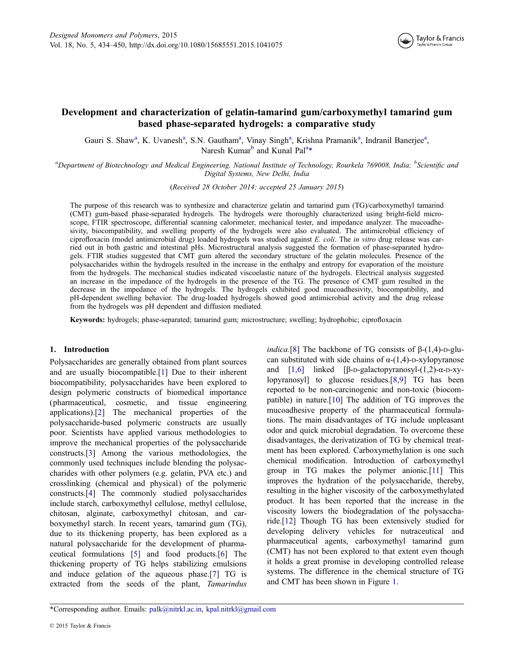

## Development and characterization of gelatin-tamarind gum/carboxymethyl tamarind gum based phase-separated hydrogels: a comparative study

Gauri S. Shaw<sup>a</sup>, K. Uvanesh<sup>a</sup>, S.N. Gautham<sup>a</sup>, Vinay Singh<sup>a</sup>, Krishna Pramanik<sup>a</sup>, Indranil Banerjee<sup>a</sup>, Naresh Kumar<sup>b</sup> and Kunal Pal<sup>a\*</sup>

<sup>a</sup>Department of Biotechnology and Medical Engineering, National Institute of Technology, Rourkela 769008, India; <sup>b</sup>Scientific and Digital Systems, New Delhi, India

(Received 28 October 2014; accepted 25 January 2015)

The purpose of this research was to synthesize and characterize gelatin and tamarind gum (TG)/carboxymethyl tamarind (CMT) gum-based phase-separated hydrogels. The hydrogels were thoroughly characterized using bright-field microscope, FTIR spectroscope, differential scanning calorimeter, mechanical tester, and impedance analyzer. The mucoadhesivity, biocompatibility, and swelling property of the hydrogels were also evaluated. The antimicrobial efficiency of ciprofloxacin (model antimicrobial drug) loaded hydrogels was studied against E. coli. The in vitro drug release was carried out in both gastric and intestinal pHs. Microstructural analysis suggested the formation of phase-separated hydrogels. FTIR studies suggested that CMT gum altered the secondary structure of the gelatin molecules. Presence of the polysaccharides within the hydrogels resulted in the increase in the enthalpy and entropy for evaporation of the moisture from the hydrogels. The mechanical studies indicated viscoelastic nature of the hydrogels. Electrical analysis suggested an increase in the impedance of the hydrogels in the presence of the TG. The presence of CMT gum resulted in the decrease in the impedance of the hydrogels. The hydrogels exhibited good mucoadhesivity, biocompatibility, and pH-dependent swelling behavior. The drug-loaded hydrogels showed good antimicrobial activity and the drug release from the hydrogels was pH dependent and diffusion mediated.

Keywords: hydrogels; phase-separated; tamarind gum; microstructure; swelling; hydrophobic; ciprofloxacin

## 1. Introduction

Polysaccharides are generally obtained from plant sources and are usually biocompatible.[1] Due to their inherent biocompatibility, polysaccharides have been explored to design polymeric constructs of biomedical importance (pharmaceutical, cosmetic, and tissue engineering applications).[2] The mechanical properties of the polysaccharide-based polymeric constructs are usually poor. Scientists have applied various methodologies to improve the mechanical properties of the polysaccharide constructs.[3] Among the various methodologies, the commonly used techniques include blending the polysaccharides with other polymers (e.g. gelatin, PVA etc.) and crosslinking (chemical and physical) of the polymeric constructs.[4] The commonly studied polysaccharides include starch, carboxymethyl cellulose, methyl cellulose, chitosan, alginate, carboxymethyl chitosan, and carboxymethyl starch. In recent years, tamarind gum (TG), due to its thickening property, has been explored as a natural polysaccharide for the development of pharmaceutical formulations [5] and food products.[6] The thickening property of TG helps stabilizing emulsions and induce gelation of the aqueous phase.[7] TG is extracted from the seeds of the plant, Tamarindus

indica.[8] The backbone of TG consists of  $\beta$ -(1,4)-D-glucan substituted with side chains of  $α-(1,4)$ -D-xylopyranose and  $[1,6]$  linked  $[\beta$ -D-galactopyranosyl- $(1,2)$ -α-D-xylopyranosyl] to glucose residues.[8,9] TG has been reported to be non-carcinogenic and non-toxic (biocompatible) in nature.[10] The addition of TG improves the mucoadhesive property of the pharmaceutical formulations. The main disadvantages of TG include unpleasant odor and quick microbial degradation. To overcome these disadvantages, the derivatization of TG by chemical treatment has been explored. Carboxymethylation is one such chemical modification. Introduction of carboxymethyl group in TG makes the polymer anionic.[11] This improves the hydration of the polysaccharide, thereby, resulting in the higher viscosity of the carboxymethylated product. It has been reported that the increase in the viscosity lowers the biodegradation of the polysaccharide.[12] Though TG has been extensively studied for developing delivery vehicles for nutraceutical and pharmaceutical agents, carboxymethyl tamarind gum (CMT) has not been explored to that extent even though it holds a great promise in developing controlled release systems. The difference in the chemical structure of TG and CMT has been shown in Figure 1.

<sup>\*</sup>Corresponding author. Emails: palk@nitrkl.ac.in, kpal.nitrkl@gmail.com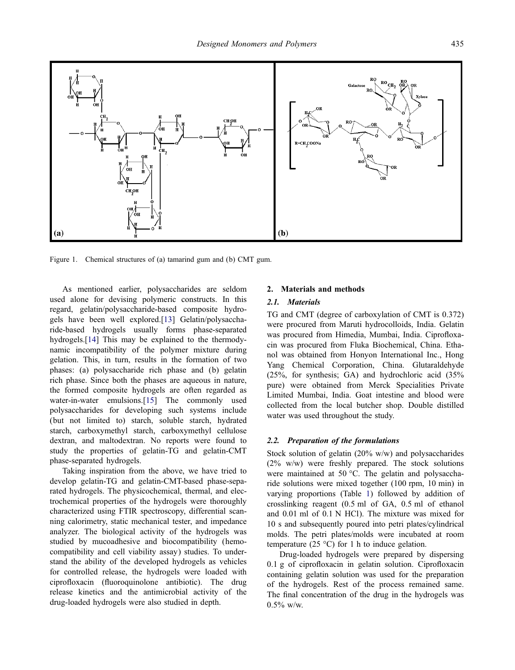

Figure 1. Chemical structures of (a) tamarind gum and (b) CMT gum.

As mentioned earlier, polysaccharides are seldom used alone for devising polymeric constructs. In this regard, gelatin/polysaccharide-based composite hydrogels have been well explored.[13] Gelatin/polysaccharide-based hydrogels usually forms phase-separated hydrogels.[14] This may be explained to the thermodynamic incompatibility of the polymer mixture during gelation. This, in turn, results in the formation of two phases: (a) polysaccharide rich phase and (b) gelatin rich phase. Since both the phases are aqueous in nature, the formed composite hydrogels are often regarded as water-in-water emulsions.<sup>[15]</sup> The commonly used polysaccharides for developing such systems include (but not limited to) starch, soluble starch, hydrated starch, carboxymethyl starch, carboxymethyl cellulose dextran, and maltodextran. No reports were found to study the properties of gelatin-TG and gelatin-CMT phase-separated hydrogels.

Taking inspiration from the above, we have tried to develop gelatin-TG and gelatin-CMT-based phase-separated hydrogels. The physicochemical, thermal, and electrochemical properties of the hydrogels were thoroughly characterized using FTIR spectroscopy, differential scanning calorimetry, static mechanical tester, and impedance analyzer. The biological activity of the hydrogels was studied by mucoadhesive and biocompatibility (hemocompatibility and cell viability assay) studies. To understand the ability of the developed hydrogels as vehicles for controlled release, the hydrogels were loaded with ciprofloxacin (fluoroquinolone antibiotic). The drug release kinetics and the antimicrobial activity of the drug-loaded hydrogels were also studied in depth.

## 2. Materials and methods

## 2.1. Materials

TG and CMT (degree of carboxylation of CMT is 0.372) were procured from Maruti hydrocolloids, India. Gelatin was procured from Himedia, Mumbai, India. Ciprofloxacin was procured from Fluka Biochemical, China. Ethanol was obtained from Honyon International Inc., Hong Yang Chemical Corporation, China. Glutaraldehyde (25%, for synthesis; GA) and hydrochloric acid (35% pure) were obtained from Merck Specialities Private Limited Mumbai, India. Goat intestine and blood were collected from the local butcher shop. Double distilled water was used throughout the study.

#### 2.2. Preparation of the formulations

Stock solution of gelatin (20% w/w) and polysaccharides (2% w/w) were freshly prepared. The stock solutions were maintained at 50 °C. The gelatin and polysaccharide solutions were mixed together (100 rpm, 10 min) in varying proportions (Table 1) followed by addition of crosslinking reagent (0.5 ml of GA, 0.5 ml of ethanol and 0.01 ml of 0.1 N HCl). The mixture was mixed for 10 s and subsequently poured into petri plates/cylindrical molds. The petri plates/molds were incubated at room temperature (25  $^{\circ}$ C) for 1 h to induce gelation.

Drug-loaded hydrogels were prepared by dispersing 0.1 g of ciprofloxacin in gelatin solution. Ciprofloxacin containing gelatin solution was used for the preparation of the hydrogels. Rest of the process remained same. The final concentration of the drug in the hydrogels was 0.5% w/w.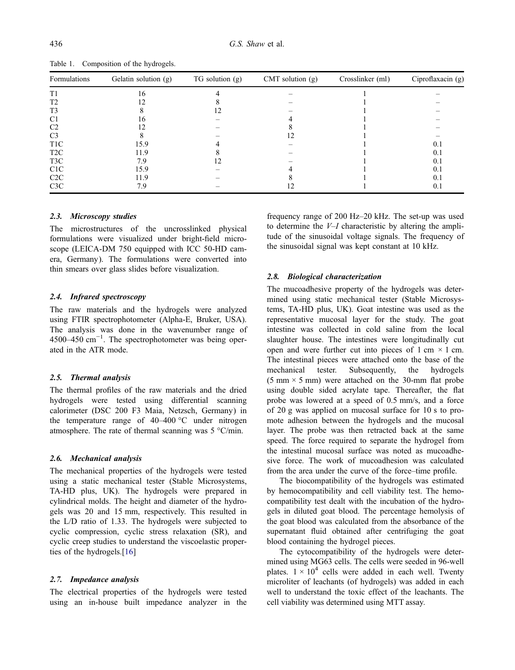| Formulations     | Gelatin solution (g) | TG solution (g) | CMT solution $(g)$ | Crosslinker (ml) | Ciproflaxacin (g) |
|------------------|----------------------|-----------------|--------------------|------------------|-------------------|
|                  | 16                   |                 |                    |                  |                   |
| T <sub>2</sub>   |                      |                 |                    |                  |                   |
| T3               |                      |                 |                    |                  |                   |
| C1               | Iб                   |                 |                    |                  |                   |
| C2               |                      |                 |                    |                  |                   |
| C <sub>3</sub>   |                      |                 |                    |                  |                   |
| T <sub>1</sub> C | 15.9                 |                 |                    |                  | (0, 1)            |
| T <sub>2</sub> C | 11.9                 |                 |                    |                  | 0.1               |
| T <sub>3</sub> C | 7.9                  |                 |                    |                  | 0.1               |
| C <sub>1</sub> C | 15.9                 |                 |                    |                  | 0.1               |
| C2C              | 11.9                 |                 |                    |                  | 0.1               |
| C3C              | 7.9                  |                 |                    |                  | 0.1               |

Table 1. Composition of the hydrogels.

#### 2.3. Microscopy studies

The microstructures of the uncrosslinked physical formulations were visualized under bright-field microscope (LEICA-DM 750 equipped with ICC 50-HD camera, Germany). The formulations were converted into thin smears over glass slides before visualization.

## 2.4. Infrared spectroscopy

The raw materials and the hydrogels were analyzed using FTIR spectrophotometer (Alpha-E, Bruker, USA). The analysis was done in the wavenumber range of <sup>4500</sup>–450 cm−<sup>1</sup> . The spectrophotometer was being operated in the ATR mode.

## 2.5. Thermal analysis

The thermal profiles of the raw materials and the dried hydrogels were tested using differential scanning calorimeter (DSC 200 F3 Maia, Netzsch, Germany) in the temperature range of 40–400 °C under nitrogen atmosphere. The rate of thermal scanning was 5 °C/min.

## 2.6. Mechanical analysis

The mechanical properties of the hydrogels were tested using a static mechanical tester (Stable Microsystems, TA-HD plus, UK). The hydrogels were prepared in cylindrical molds. The height and diameter of the hydrogels was 20 and 15 mm, respectively. This resulted in the L/D ratio of 1.33. The hydrogels were subjected to cyclic compression, cyclic stress relaxation (SR), and cyclic creep studies to understand the viscoelastic properties of the hydrogels.[16]

## 2.7. Impedance analysis

The electrical properties of the hydrogels were tested using an in-house built impedance analyzer in the frequency range of 200 Hz–20 kHz. The set-up was used to determine the  $V-I$  characteristic by altering the amplitude of the sinusoidal voltage signals. The frequency of the sinusoidal signal was kept constant at 10 kHz.

## 2.8. Biological characterization

The mucoadhesive property of the hydrogels was determined using static mechanical tester (Stable Microsystems, TA-HD plus, UK). Goat intestine was used as the representative mucosal layer for the study. The goat intestine was collected in cold saline from the local slaughter house. The intestines were longitudinally cut open and were further cut into pieces of 1 cm  $\times$  1 cm. The intestinal pieces were attached onto the base of the mechanical tester. Subsequently, the hydrogels  $(5 \text{ mm} \times 5 \text{ mm})$  were attached on the 30-mm flat probe using double sided acrylate tape. Thereafter, the flat probe was lowered at a speed of 0.5 mm/s, and a force of 20 g was applied on mucosal surface for 10 s to promote adhesion between the hydrogels and the mucosal layer. The probe was then retracted back at the same speed. The force required to separate the hydrogel from the intestinal mucosal surface was noted as mucoadhesive force. The work of mucoadhesion was calculated from the area under the curve of the force–time profile.

The biocompatibility of the hydrogels was estimated by hemocompatibility and cell viability test. The hemocompatibility test dealt with the incubation of the hydrogels in diluted goat blood. The percentage hemolysis of the goat blood was calculated from the absorbance of the supernatant fluid obtained after centrifuging the goat blood containing the hydrogel pieces.

The cytocompatibility of the hydrogels were determined using MG63 cells. The cells were seeded in 96-well plates.  $1 \times 10^4$  cells were added in each well. Twenty microliter of leachants (of hydrogels) was added in each well to understand the toxic effect of the leachants. The cell viability was determined using MTT assay.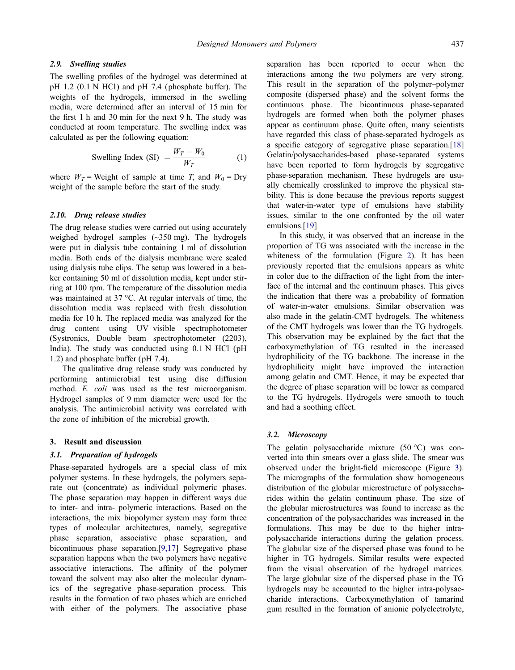#### 2.9. Swelling studies

The swelling profiles of the hydrogel was determined at pH 1.2 (0.1 N HCl) and pH 7.4 (phosphate buffer). The weights of the hydrogels, immersed in the swelling media, were determined after an interval of 15 min for the first 1 h and 30 min for the next 9 h. The study was conducted at room temperature. The swelling index was calculated as per the following equation:

Swelling Index (SI) = 
$$
\frac{W_T - W_0}{W_T}
$$
 (1)

where  $W_T$  = Weight of sample at time T, and  $W_0$  = Dry weight of the sample before the start of the study.

## 2.10. Drug release studies

The drug release studies were carried out using accurately weighed hydrogel samples (~350 mg). The hydrogels were put in dialysis tube containing 1 ml of dissolution media. Both ends of the dialysis membrane were sealed using dialysis tube clips. The setup was lowered in a beaker containing 50 ml of dissolution media, kept under stirring at 100 rpm. The temperature of the dissolution media was maintained at 37 °C. At regular intervals of time, the dissolution media was replaced with fresh dissolution media for 10 h. The replaced media was analyzed for the drug content using UV–visible spectrophotometer (Systronics, Double beam spectrophotometer (2203), India). The study was conducted using 0.1 N HCl (pH 1.2) and phosphate buffer (pH 7.4).

The qualitative drug release study was conducted by performing antimicrobial test using disc diffusion method. E. coli was used as the test microorganism. Hydrogel samples of 9 mm diameter were used for the analysis. The antimicrobial activity was correlated with the zone of inhibition of the microbial growth.

### 3. Result and discussion

## 3.1. Preparation of hydrogels

Phase-separated hydrogels are a special class of mix polymer systems. In these hydrogels, the polymers separate out (concentrate) as individual polymeric phases. The phase separation may happen in different ways due to inter- and intra- polymeric interactions. Based on the interactions, the mix biopolymer system may form three types of molecular architectures, namely, segregative phase separation, associative phase separation, and bicontinuous phase separation.[9,17] Segregative phase separation happens when the two polymers have negative associative interactions. The affinity of the polymer toward the solvent may also alter the molecular dynamics of the segregative phase-separation process. This results in the formation of two phases which are enriched with either of the polymers. The associative phase separation has been reported to occur when the interactions among the two polymers are very strong. This result in the separation of the polymer–polymer composite (dispersed phase) and the solvent forms the continuous phase. The bicontinuous phase-separated hydrogels are formed when both the polymer phases appear as continuum phase. Quite often, many scientists have regarded this class of phase-separated hydrogels as a specific category of segregative phase separation.[18] Gelatin/polysaccharides-based phase-separated systems have been reported to form hydrogels by segregative phase-separation mechanism. These hydrogels are usually chemically crosslinked to improve the physical stability. This is done because the previous reports suggest that water-in-water type of emulsions have stability issues, similar to the one confronted by the oil–water emulsions.[19]

In this study, it was observed that an increase in the proportion of TG was associated with the increase in the whiteness of the formulation (Figure 2). It has been previously reported that the emulsions appears as white in color due to the diffraction of the light from the interface of the internal and the continuum phases. This gives the indication that there was a probability of formation of water-in-water emulsions. Similar observation was also made in the gelatin-CMT hydrogels. The whiteness of the CMT hydrogels was lower than the TG hydrogels. This observation may be explained by the fact that the carboxymethylation of TG resulted in the increased hydrophilicity of the TG backbone. The increase in the hydrophilicity might have improved the interaction among gelatin and CMT. Hence, it may be expected that the degree of phase separation will be lower as compared to the TG hydrogels. Hydrogels were smooth to touch and had a soothing effect.

#### 3.2. Microscopy

The gelatin polysaccharide mixture  $(50 °C)$  was converted into thin smears over a glass slide. The smear was observed under the bright-field microscope (Figure 3). The micrographs of the formulation show homogeneous distribution of the globular microstructure of polysaccharides within the gelatin continuum phase. The size of the globular microstructures was found to increase as the concentration of the polysaccharides was increased in the formulations. This may be due to the higher intrapolysaccharide interactions during the gelation process. The globular size of the dispersed phase was found to be higher in TG hydrogels. Similar results were expected from the visual observation of the hydrogel matrices. The large globular size of the dispersed phase in the TG hydrogels may be accounted to the higher intra-polysaccharide interactions. Carboxymethylation of tamarind gum resulted in the formation of anionic polyelectrolyte,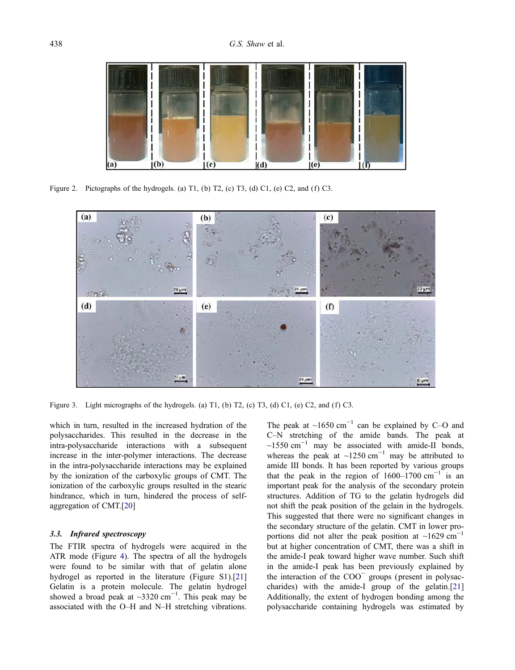

Figure 2. Pictographs of the hydrogels. (a) T1, (b) T2, (c) T3, (d) C1, (e) C2, and (f) C3.



Figure 3. Light micrographs of the hydrogels. (a) T1, (b) T2, (c) T3, (d) C1, (e) C2, and (f) C3.

which in turn, resulted in the increased hydration of the polysaccharides. This resulted in the decrease in the intra-polysaccharide interactions with a subsequent increase in the inter-polymer interactions. The decrease in the intra-polysaccharide interactions may be explained by the ionization of the carboxylic groups of CMT. The ionization of the carboxylic groups resulted in the stearic hindrance, which in turn, hindered the process of selfaggregation of CMT.[20]

## 3.3. Infrared spectroscopy

The FTIR spectra of hydrogels were acquired in the ATR mode (Figure 4). The spectra of all the hydrogels were found to be similar with that of gelatin alone hydrogel as reported in the literature (Figure S1).[21] Gelatin is a protein molecule. The gelatin hydrogel showed a broad peak at  $\sim$ 3320 cm<sup>-1</sup>. This peak may be associated with the O–H and N–H stretching vibrations.

The peak at  $\sim$ 1650 cm<sup>-1</sup> can be explained by C–O and C–N stretching of the amide bands. The peak at  $\sim$ 1550 cm<sup>-1</sup> may be associated with amide-II bonds, whereas the peak at ~1250 cm<sup>-1</sup> may be attributed to amide III bonds. It has been reported by various groups that the peak in the region of  $1600-1700$  cm<sup>-1</sup> is an important peak for the analysis of the secondary protein structures. Addition of TG to the gelatin hydrogels did not shift the peak position of the gelain in the hydrogels. This suggested that there were no significant changes in the secondary structure of the gelatin. CMT in lower proportions did not alter the peak position at  $\sim$ 1629 cm<sup>-1</sup> but at higher concentration of CMT, there was a shift in the amide-I peak toward higher wave number. Such shift in the amide-I peak has been previously explained by the interaction of the COO<sup>−</sup> groups (present in polysaccharides) with the amide-I group of the gelatin.[21] Additionally, the extent of hydrogen bonding among the polysaccharide containing hydrogels was estimated by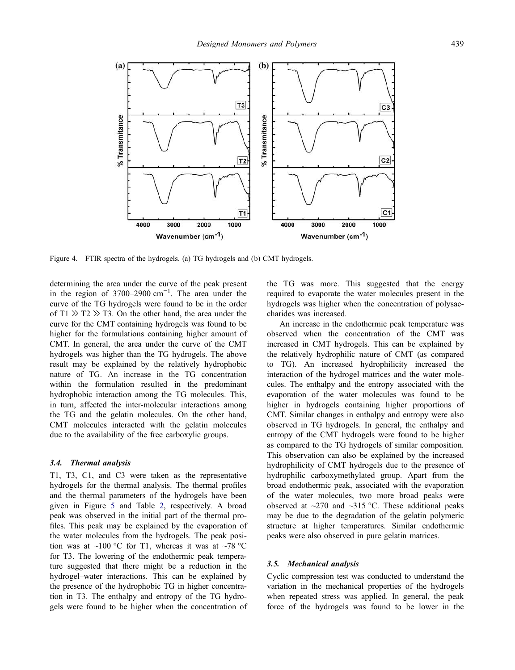

Figure 4. FTIR spectra of the hydrogels. (a) TG hydrogels and (b) CMT hydrogels.

determining the area under the curve of the peak present in the region of  $3700-2900$  cm<sup>-1</sup>. The area under the curve of the TG hydrogels were found to be in the order of T1  $\gg$  T2  $\gg$  T3. On the other hand, the area under the curve for the CMT containing hydrogels was found to be higher for the formulations containing higher amount of CMT. In general, the area under the curve of the CMT hydrogels was higher than the TG hydrogels. The above result may be explained by the relatively hydrophobic nature of TG. An increase in the TG concentration within the formulation resulted in the predominant hydrophobic interaction among the TG molecules. This, in turn, affected the inter-molecular interactions among the TG and the gelatin molecules. On the other hand, CMT molecules interacted with the gelatin molecules due to the availability of the free carboxylic groups.

## 3.4. Thermal analysis

T1, T3, C1, and C3 were taken as the representative hydrogels for the thermal analysis. The thermal profiles and the thermal parameters of the hydrogels have been given in Figure 5 and Table 2, respectively. A broad peak was observed in the initial part of the thermal profiles. This peak may be explained by the evaporation of the water molecules from the hydrogels. The peak position was at ~100 °C for T1, whereas it was at ~78 °C for T3. The lowering of the endothermic peak temperature suggested that there might be a reduction in the hydrogel–water interactions. This can be explained by the presence of the hydrophobic TG in higher concentration in T3. The enthalpy and entropy of the TG hydrogels were found to be higher when the concentration of

the TG was more. This suggested that the energy required to evaporate the water molecules present in the hydrogels was higher when the concentration of polysaccharides was increased.

An increase in the endothermic peak temperature was observed when the concentration of the CMT was increased in CMT hydrogels. This can be explained by the relatively hydrophilic nature of CMT (as compared to TG). An increased hydrophilicity increased the interaction of the hydrogel matrices and the water molecules. The enthalpy and the entropy associated with the evaporation of the water molecules was found to be higher in hydrogels containing higher proportions of CMT. Similar changes in enthalpy and entropy were also observed in TG hydrogels. In general, the enthalpy and entropy of the CMT hydrogels were found to be higher as compared to the TG hydrogels of similar composition. This observation can also be explained by the increased hydrophilicity of CMT hydrogels due to the presence of hydrophilic carboxymethylated group. Apart from the broad endothermic peak, associated with the evaporation of the water molecules, two more broad peaks were observed at  $\sim$ 270 and  $\sim$ 315 °C. These additional peaks may be due to the degradation of the gelatin polymeric structure at higher temperatures. Similar endothermic peaks were also observed in pure gelatin matrices.

#### 3.5. Mechanical analysis

Cyclic compression test was conducted to understand the variation in the mechanical properties of the hydrogels when repeated stress was applied. In general, the peak force of the hydrogels was found to be lower in the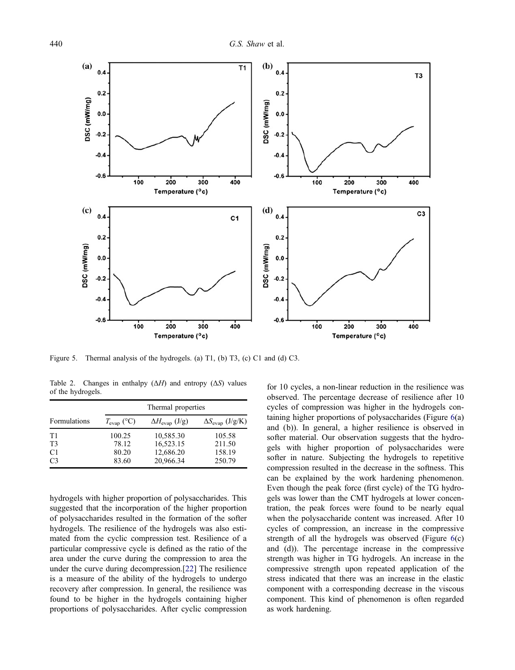$(a)$  $(b)$  $\overline{11}$  $0.4$  $0.4$ T<sub>3</sub>  $0.2$  $0.2$ DSC (mW/mg) DSC (mW/mg)  $0.0$  $0.0$  $-0.2$  $-0.2$  $-0.4$  $-0.4$  $-0.6$  $-0.6$  $100$ 200  $300$ 400  $100$  $200$  $300$ 400 Temperature (°c) Temperature (°c)  $(c)$  $(d)$ C<sub>3</sub>  $0.4$  $0.4$  $C<sub>1</sub>$  $0.2$  $0.2$ **SC** (mW/mg) DSC (mW/mg)  $0.0$  $0.0$  $-0.2$  $-0.2$  $-0.4$  $-0.4$  $-0.6$  $-0.6$  $100$ 400  $100$ 200 300 200 300 400 Temperature (°c) Temperature (°c)

Figure 5. Thermal analysis of the hydrogels. (a) T1, (b) T3, (c) C1 and (d) C3.

Table 2. Changes in enthalpy  $(\Delta H)$  and entropy  $(\Delta S)$  values of the hydrogels.

|                | Thermal properties     |                                |                           |  |  |  |
|----------------|------------------------|--------------------------------|---------------------------|--|--|--|
| Formulations   | $T_{\text{evap}}$ (°C) | $\Delta H_{\text{evan}}$ (J/g) | $\Delta S_{evap}$ (J/g/K) |  |  |  |
| T1             | 100.25                 | 10,585.30                      | 105.58                    |  |  |  |
| T3             | 78.12                  | 16,523.15                      | 211.50                    |  |  |  |
| C <sub>1</sub> | 80.20                  | 12,686.20                      | 158.19                    |  |  |  |
| C <sub>3</sub> | 83.60                  | 20,966.34                      | 250.79                    |  |  |  |

hydrogels with higher proportion of polysaccharides. This suggested that the incorporation of the higher proportion of polysaccharides resulted in the formation of the softer hydrogels. The resilience of the hydrogels was also estimated from the cyclic compression test. Resilience of a particular compressive cycle is defined as the ratio of the area under the curve during the compression to area the under the curve during decompression.[22] The resilience is a measure of the ability of the hydrogels to undergo recovery after compression. In general, the resilience was found to be higher in the hydrogels containing higher proportions of polysaccharides. After cyclic compression

for 10 cycles, a non-linear reduction in the resilience was observed. The percentage decrease of resilience after 10 cycles of compression was higher in the hydrogels containing higher proportions of polysaccharides (Figure 6(a) and (b)). In general, a higher resilience is observed in softer material. Our observation suggests that the hydrogels with higher proportion of polysaccharides were softer in nature. Subjecting the hydrogels to repetitive compression resulted in the decrease in the softness. This can be explained by the work hardening phenomenon. Even though the peak force (first cycle) of the TG hydrogels was lower than the CMT hydrogels at lower concentration, the peak forces were found to be nearly equal when the polysaccharide content was increased. After 10 cycles of compression, an increase in the compressive strength of all the hydrogels was observed (Figure 6(c) and (d)). The percentage increase in the compressive strength was higher in TG hydrogels. An increase in the compressive strength upon repeated application of the stress indicated that there was an increase in the elastic component with a corresponding decrease in the viscous component. This kind of phenomenon is often regarded as work hardening.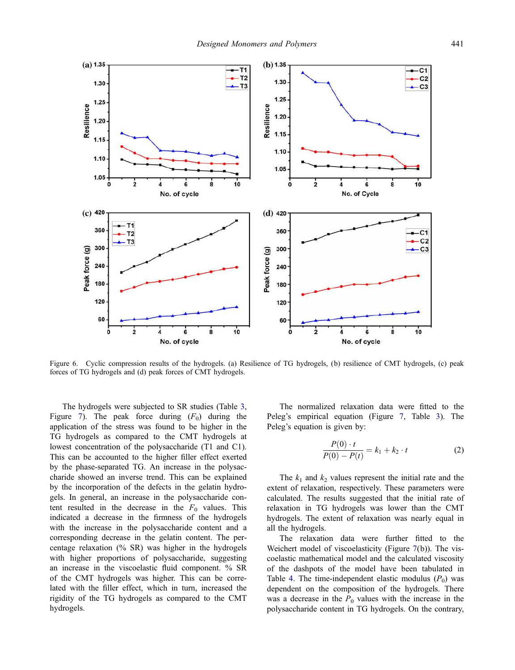

Figure 6. Cyclic compression results of the hydrogels. (a) Resilience of TG hydrogels, (b) resilience of CMT hydrogels, (c) peak forces of TG hydrogels and (d) peak forces of CMT hydrogels.

The hydrogels were subjected to SR studies (Table 3, Figure 7). The peak force during  $(F_0)$  during the application of the stress was found to be higher in the TG hydrogels as compared to the CMT hydrogels at lowest concentration of the polysaccharide (T1 and C1). This can be accounted to the higher filler effect exerted by the phase-separated TG. An increase in the polysaccharide showed an inverse trend. This can be explained by the incorporation of the defects in the gelatin hydrogels. In general, an increase in the polysaccharide content resulted in the decrease in the  $F_0$  values. This indicated a decrease in the firmness of the hydrogels with the increase in the polysaccharide content and a corresponding decrease in the gelatin content. The percentage relaxation (% SR) was higher in the hydrogels with higher proportions of polysaccharide, suggesting an increase in the viscoelastic fluid component. % SR of the CMT hydrogels was higher. This can be correlated with the filler effect, which in turn, increased the rigidity of the TG hydrogels as compared to the CMT hydrogels.

The normalized relaxation data were fitted to the Peleg's empirical equation (Figure 7, Table 3). The Peleg's equation is given by:

$$
\frac{P(0) \cdot t}{P(0) - P(t)} = k_1 + k_2 \cdot t \tag{2}
$$

The  $k_1$  and  $k_2$  values represent the initial rate and the extent of relaxation, respectively. These parameters were calculated. The results suggested that the initial rate of relaxation in TG hydrogels was lower than the CMT hydrogels. The extent of relaxation was nearly equal in all the hydrogels.

The relaxation data were further fitted to the Weichert model of viscoelasticity (Figure 7(b)). The viscoelastic mathematical model and the calculated viscosity of the dashpots of the model have been tabulated in Table 4. The time-independent elastic modulus  $(P_0)$  was dependent on the composition of the hydrogels. There was a decrease in the  $P_0$  values with the increase in the polysaccharide content in TG hydrogels. On the contrary,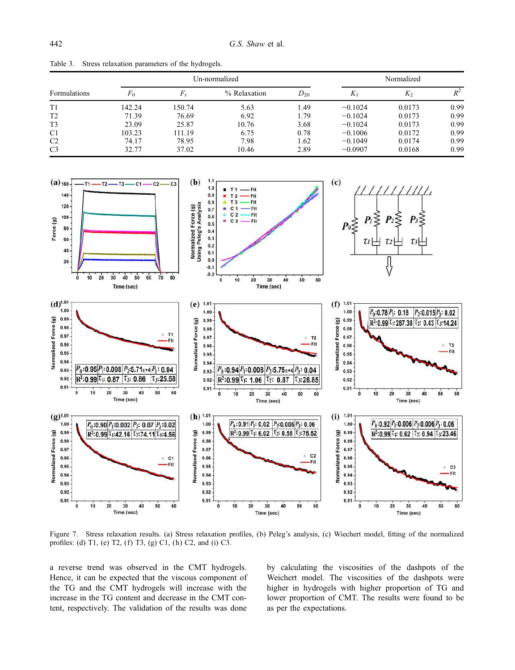| Table 3. |  |  |  |  | Stress relaxation parameters of the hydrogels. |  |  |  |  |
|----------|--|--|--|--|------------------------------------------------|--|--|--|--|
|----------|--|--|--|--|------------------------------------------------|--|--|--|--|

|                |        | Un-normalized |              | Normalized |           |        |       |
|----------------|--------|---------------|--------------|------------|-----------|--------|-------|
| Formulations   | $F_0$  | $F_r$         | % Relaxation | $D_{20}$   | A         | $K_2$  | $R^2$ |
| T1             | 142.24 | 150.74        | 5.63         | 1.49       | $-0.1024$ | 0.0173 | 0.99  |
| T <sub>2</sub> | 71.39  | 76.69         | 6.92         | 1.79       | $-0.1024$ | 0.0173 | 0.99  |
| T <sub>3</sub> | 23.09  | 25.87         | 10.76        | 3.68       | $-0.1024$ | 0.0173 | 0.99  |
| C <sub>1</sub> | 103.23 | 111.19        | 6.75         | 0.78       | $-0.1006$ | 0.0172 | 0.99  |
| C <sub>2</sub> | 74.17  | 78.95         | 7.98         | 1.62       | $-0.1049$ | 0.0174 | 0.99  |
| C <sub>3</sub> | 32.77  | 37.02         | 10.46        | 2.89       | $-0.0907$ | 0.0168 | 0.99  |



Figure 7. Stress relaxation results. (a) Stress relaxation profiles, (b) Peleg's analysis, (c) Wiechert model, fitting of the normalized profiles: (d) T1, (e) T2, (f) T3, (g) C1, (h) C2, and (i) C3.

a reverse trend was observed in the CMT hydrogels. Hence, it can be expected that the viscous component of the TG and the CMT hydrogels will increase with the increase in the TG content and decrease in the CMT content, respectively. The validation of the results was done

by calculating the viscosities of the dashpots of the Weichert model. The viscosities of the dashpots were higher in hydrogels with higher proportion of TG and lower proportion of CMT. The results were found to be as per the expectations.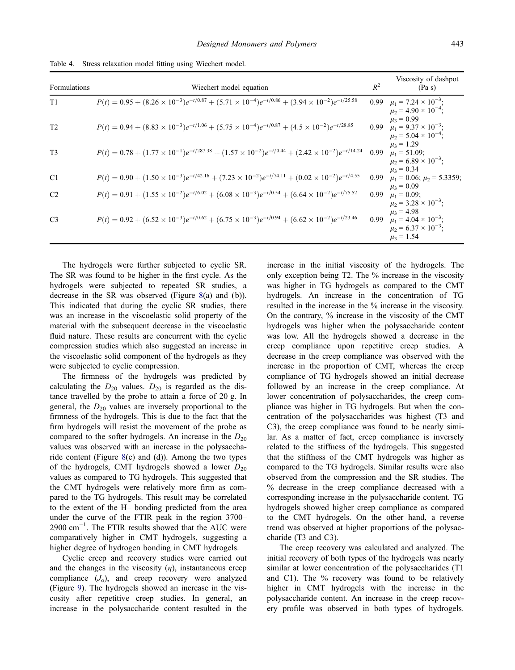| Formulations   | Wiechert model equation                                                                                                   | $R^2$ | Viscosity of dashpot<br>(Pa s)                                                            |
|----------------|---------------------------------------------------------------------------------------------------------------------------|-------|-------------------------------------------------------------------------------------------|
| T1             | $P(t) = 0.95 + (8.26 \times 10^{-3})e^{-t/0.87} + (5.71 \times 10^{-4})e^{-t/0.86} + (3.94 \times 10^{-2})e^{-t/25.58}$   |       | 0.99 $\mu_1 = 7.24 \times 10^{-3}$ ;<br>$\mu_2 = 4.90 \times 10^{-4}$ ;                   |
| T <sub>2</sub> | $P(t) = 0.94 + (8.83 \times 10^{-3})e^{-t/1.06} + (5.75 \times 10^{-4})e^{-t/0.87} + (4.5 \times 10^{-2})e^{-t/28.85}$    |       | $\mu_3 = 0.99$<br>0.99 $\mu_1 = 9.37 \times 10^{-3}$ ;<br>$\mu_2 = 5.04 \times 10^{-4}$ ; |
| T <sub>3</sub> | $P(t) = 0.78 + (1.77 \times 10^{-1})e^{-t/287.38} + (1.57 \times 10^{-2})e^{-t/0.44} + (2.42 \times 10^{-2})e^{-t/14.24}$ |       | $\mu_3 = 1.29$<br>0.99 $\mu_1 = 51.09$ ;<br>$\mu_2 = 6.89 \times 10^{-3}$ ;               |
| C1             | $P(t) = 0.90 + (1.50 \times 10^{-3})e^{-t/42.16} + (7.23 \times 10^{-2})e^{-t/74.11} + (0.02 \times 10^{-2})e^{-t/4.55}$  | 0.99  | $\mu_3 = 0.34$<br>$\mu_1 = 0.06; \mu_2 = 5.3359;$<br>$\mu_3 = 0.09$                       |
| C <sub>2</sub> | $P(t) = 0.91 + (1.55 \times 10^{-2})e^{-t/6.02} + (6.08 \times 10^{-3})e^{-t/0.54} + (6.64 \times 10^{-2})e^{-t/75.52}$   |       | 0.99 $\mu_1 = 0.09$ ;<br>$\mu_2 = 3.28 \times 10^{-3}$ ;<br>$\mu_3 = 4.98$                |
| C <sub>3</sub> | $P(t) = 0.92 + (6.52 \times 10^{-3})e^{-t/0.62} + (6.75 \times 10^{-3})e^{-t/0.94} + (6.62 \times 10^{-2})e^{-t/23.46}$   | 0.99  | $\mu_1 = 4.04 \times 10^{-3}$ ;<br>$\mu_2 = 6.37 \times 10^{-3}$ ;<br>$\mu_3 = 1.54$      |

Table 4. Stress relaxation model fitting using Wiechert model.

The hydrogels were further subjected to cyclic SR. The SR was found to be higher in the first cycle. As the hydrogels were subjected to repeated SR studies, a decrease in the SR was observed (Figure 8(a) and (b)). This indicated that during the cyclic SR studies, there was an increase in the viscoelastic solid property of the material with the subsequent decrease in the viscoelastic fluid nature. These results are concurrent with the cyclic compression studies which also suggested an increase in the viscoelastic solid component of the hydrogels as they were subjected to cyclic compression.

The firmness of the hydrogels was predicted by calculating the  $D_{20}$  values.  $D_{20}$  is regarded as the distance travelled by the probe to attain a force of 20 g. In general, the  $D_{20}$  values are inversely proportional to the firmness of the hydrogels. This is due to the fact that the firm hydrogels will resist the movement of the probe as compared to the softer hydrogels. An increase in the  $D_{20}$ values was observed with an increase in the polysaccharide content (Figure 8(c) and (d)). Among the two types of the hydrogels, CMT hydrogels showed a lower  $D_{20}$ values as compared to TG hydrogels. This suggested that the CMT hydrogels were relatively more firm as compared to the TG hydrogels. This result may be correlated to the extent of the H– bonding predicted from the area under the curve of the FTIR peak in the region 3700– 2900 cm−<sup>1</sup> . The FTIR results showed that the AUC were comparatively higher in CMT hydrogels, suggesting a higher degree of hydrogen bonding in CMT hydrogels.

Cyclic creep and recovery studies were carried out and the changes in the viscosity  $(\eta)$ , instantaneous creep compliance  $(J_0)$ , and creep recovery were analyzed (Figure 9). The hydrogels showed an increase in the viscosity after repetitive creep studies. In general, an increase in the polysaccharide content resulted in the increase in the initial viscosity of the hydrogels. The only exception being T2. The % increase in the viscosity was higher in TG hydrogels as compared to the CMT hydrogels. An increase in the concentration of TG resulted in the increase in the % increase in the viscosity. On the contrary, % increase in the viscosity of the CMT hydrogels was higher when the polysaccharide content was low. All the hydrogels showed a decrease in the creep compliance upon repetitive creep studies. A decrease in the creep compliance was observed with the increase in the proportion of CMT, whereas the creep compliance of TG hydrogels showed an initial decrease followed by an increase in the creep compliance. At lower concentration of polysaccharides, the creep compliance was higher in TG hydrogels. But when the concentration of the polysaccharides was highest (T3 and C3), the creep compliance was found to be nearly similar. As a matter of fact, creep compliance is inversely related to the stiffness of the hydrogels. This suggested that the stiffness of the CMT hydrogels was higher as compared to the TG hydrogels. Similar results were also observed from the compression and the SR studies. The % decrease in the creep compliance decreased with a corresponding increase in the polysaccharide content. TG hydrogels showed higher creep compliance as compared to the CMT hydrogels. On the other hand, a reverse trend was observed at higher proportions of the polysaccharide (T3 and C3).

The creep recovery was calculated and analyzed. The initial recovery of both types of the hydrogels was nearly similar at lower concentration of the polysaccharides (T1 and C1). The % recovery was found to be relatively higher in CMT hydrogels with the increase in the polysaccharide content. An increase in the creep recovery profile was observed in both types of hydrogels.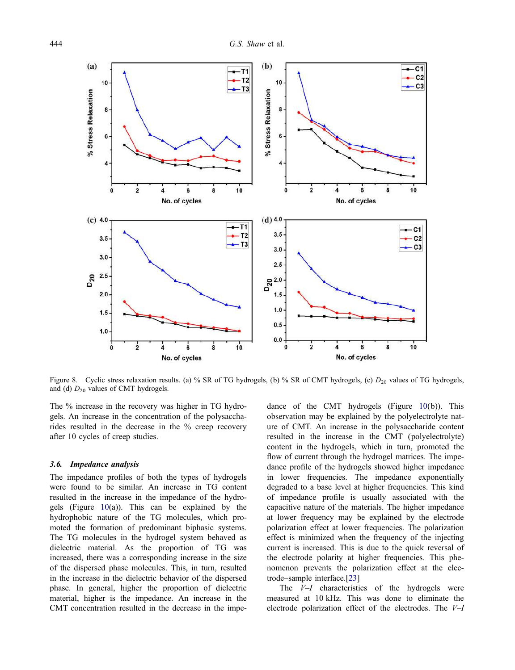

Figure 8. Cyclic stress relaxation results. (a) % SR of TG hydrogels, (b) % SR of CMT hydrogels, (c)  $D_{20}$  values of TG hydrogels, and (d)  $D_{20}$  values of CMT hydrogels.

The % increase in the recovery was higher in TG hydrogels. An increase in the concentration of the polysaccharides resulted in the decrease in the % creep recovery after 10 cycles of creep studies.

## 3.6. Impedance analysis

The impedance profiles of both the types of hydrogels were found to be similar. An increase in TG content resulted in the increase in the impedance of the hydrogels (Figure 10(a)). This can be explained by the hydrophobic nature of the TG molecules, which promoted the formation of predominant biphasic systems. The TG molecules in the hydrogel system behaved as dielectric material. As the proportion of TG was increased, there was a corresponding increase in the size of the dispersed phase molecules. This, in turn, resulted in the increase in the dielectric behavior of the dispersed phase. In general, higher the proportion of dielectric material, higher is the impedance. An increase in the CMT concentration resulted in the decrease in the impe-

dance of the CMT hydrogels (Figure 10(b)). This observation may be explained by the polyelectrolyte nature of CMT. An increase in the polysaccharide content resulted in the increase in the CMT (polyelectrolyte) content in the hydrogels, which in turn, promoted the flow of current through the hydrogel matrices. The impedance profile of the hydrogels showed higher impedance in lower frequencies. The impedance exponentially degraded to a base level at higher frequencies. This kind of impedance profile is usually associated with the capacitive nature of the materials. The higher impedance at lower frequency may be explained by the electrode polarization effect at lower frequencies. The polarization effect is minimized when the frequency of the injecting current is increased. This is due to the quick reversal of the electrode polarity at higher frequencies. This phenomenon prevents the polarization effect at the electrode–sample interface.[23]

The  $V-I$  characteristics of the hydrogels were measured at 10 kHz. This was done to eliminate the electrode polarization effect of the electrodes. The  $V-I$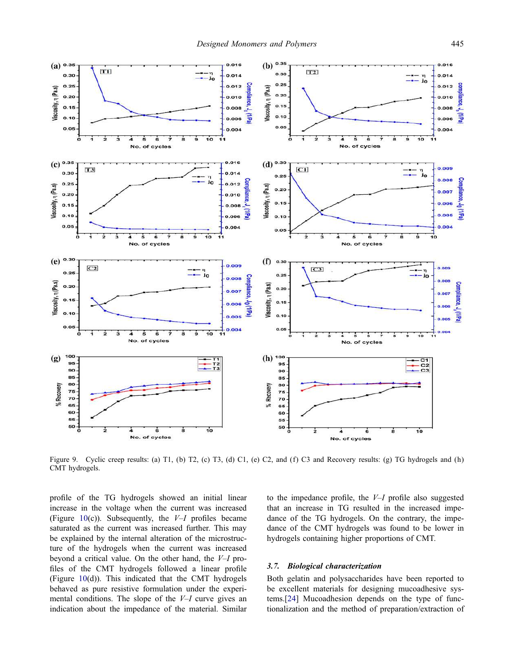

Figure 9. Cyclic creep results: (a) T1, (b) T2, (c) T3, (d) C1, (e) C2, and (f) C3 and Recovery results: (g) TG hydrogels and (h) CMT hydrogels.

profile of the TG hydrogels showed an initial linear increase in the voltage when the current was increased (Figure 10(c)). Subsequently, the  $V-I$  profiles became saturated as the current was increased further. This may be explained by the internal alteration of the microstructure of the hydrogels when the current was increased beyond a critical value. On the other hand, the  $V-I$  profiles of the CMT hydrogels followed a linear profile (Figure 10(d)). This indicated that the CMT hydrogels behaved as pure resistive formulation under the experimental conditions. The slope of the  $V-I$  curve gives an indication about the impedance of the material. Similar

to the impedance profile, the  $V-I$  profile also suggested that an increase in TG resulted in the increased impedance of the TG hydrogels. On the contrary, the impedance of the CMT hydrogels was found to be lower in hydrogels containing higher proportions of CMT.

## 3.7. Biological characterization

Both gelatin and polysaccharides have been reported to be excellent materials for designing mucoadhesive systems.[24] Mucoadhesion depends on the type of functionalization and the method of preparation/extraction of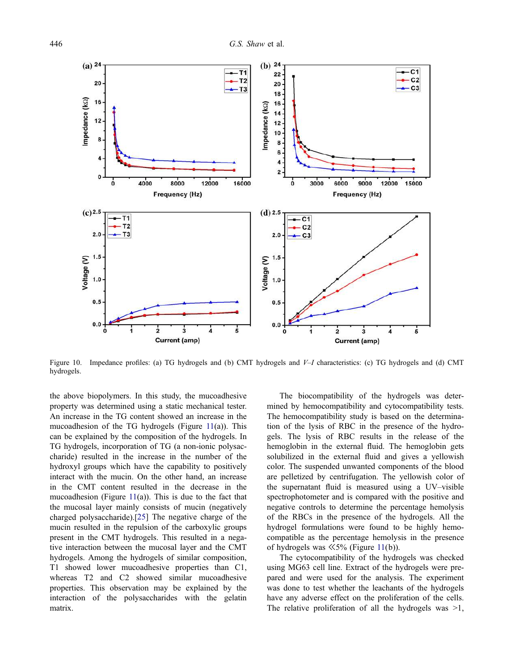

Figure 10. Impedance profiles: (a) TG hydrogels and (b) CMT hydrogels and V–I characteristics: (c) TG hydrogels and (d) CMT hydrogels.

the above biopolymers. In this study, the mucoadhesive property was determined using a static mechanical tester. An increase in the TG content showed an increase in the mucoadhesion of the TG hydrogels (Figure 11(a)). This can be explained by the composition of the hydrogels. In TG hydrogels, incorporation of TG (a non-ionic polysaccharide) resulted in the increase in the number of the hydroxyl groups which have the capability to positively interact with the mucin. On the other hand, an increase in the CMT content resulted in the decrease in the mucoadhesion (Figure  $11(a)$ ). This is due to the fact that the mucosal layer mainly consists of mucin (negatively charged polysaccharide).[25] The negative charge of the mucin resulted in the repulsion of the carboxylic groups present in the CMT hydrogels. This resulted in a negative interaction between the mucosal layer and the CMT hydrogels. Among the hydrogels of similar composition, T1 showed lower mucoadhesive properties than C1, whereas T2 and C2 showed similar mucoadhesive properties. This observation may be explained by the interaction of the polysaccharides with the gelatin matrix.

The biocompatibility of the hydrogels was determined by hemocompatibility and cytocompatibility tests. The hemocompatibility study is based on the determination of the lysis of RBC in the presence of the hydrogels. The lysis of RBC results in the release of the hemoglobin in the external fluid. The hemoglobin gets solubilized in the external fluid and gives a yellowish color. The suspended unwanted components of the blood are pelletized by centrifugation. The yellowish color of the supernatant fluid is measured using a UV–visible spectrophotometer and is compared with the positive and negative controls to determine the percentage hemolysis of the RBCs in the presence of the hydrogels. All the hydrogel formulations were found to be highly hemocompatible as the percentage hemolysis in the presence of hydrogels was ≪5% (Figure 11(b)).

The cytocompatibility of the hydrogels was checked using MG63 cell line. Extract of the hydrogels were prepared and were used for the analysis. The experiment was done to test whether the leachants of the hydrogels have any adverse effect on the proliferation of the cells. The relative proliferation of all the hydrogels was  $>1$ ,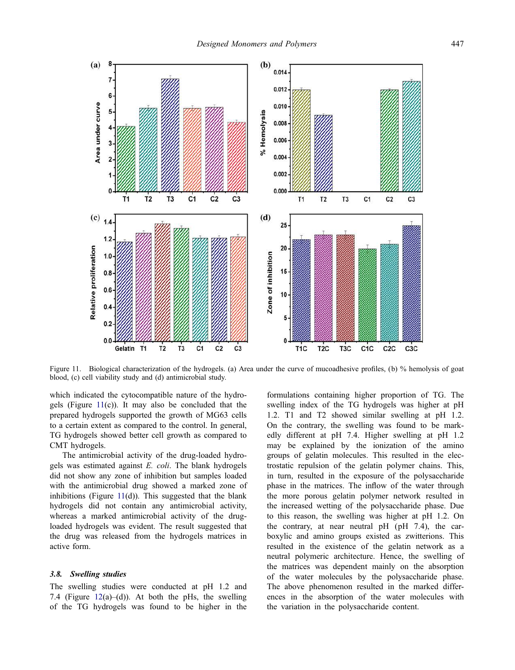

Figure 11. Biological characterization of the hydrogels. (a) Area under the curve of mucoadhesive profiles, (b) % hemolysis of goat blood, (c) cell viability study and (d) antimicrobial study.

which indicated the cytocompatible nature of the hydrogels (Figure  $11(c)$ ). It may also be concluded that the prepared hydrogels supported the growth of MG63 cells to a certain extent as compared to the control. In general, TG hydrogels showed better cell growth as compared to CMT hydrogels.

The antimicrobial activity of the drug-loaded hydrogels was estimated against E. coli. The blank hydrogels did not show any zone of inhibition but samples loaded with the antimicrobial drug showed a marked zone of inhibitions (Figure 11(d)). This suggested that the blank hydrogels did not contain any antimicrobial activity, whereas a marked antimicrobial activity of the drugloaded hydrogels was evident. The result suggested that the drug was released from the hydrogels matrices in active form.

## 3.8. Swelling studies

The swelling studies were conducted at pH 1.2 and 7.4 (Figure  $12(a)$ –(d)). At both the pHs, the swelling of the TG hydrogels was found to be higher in the

formulations containing higher proportion of TG. The swelling index of the TG hydrogels was higher at pH 1.2. T1 and T2 showed similar swelling at pH 1.2. On the contrary, the swelling was found to be markedly different at pH 7.4. Higher swelling at pH 1.2 may be explained by the ionization of the amino groups of gelatin molecules. This resulted in the electrostatic repulsion of the gelatin polymer chains. This, in turn, resulted in the exposure of the polysaccharide phase in the matrices. The inflow of the water through the more porous gelatin polymer network resulted in the increased wetting of the polysaccharide phase. Due to this reason, the swelling was higher at pH 1.2. On the contrary, at near neutral pH (pH 7.4), the carboxylic and amino groups existed as zwitterions. This resulted in the existence of the gelatin network as a neutral polymeric architecture. Hence, the swelling of the matrices was dependent mainly on the absorption of the water molecules by the polysaccharide phase. The above phenomenon resulted in the marked differences in the absorption of the water molecules with the variation in the polysaccharide content.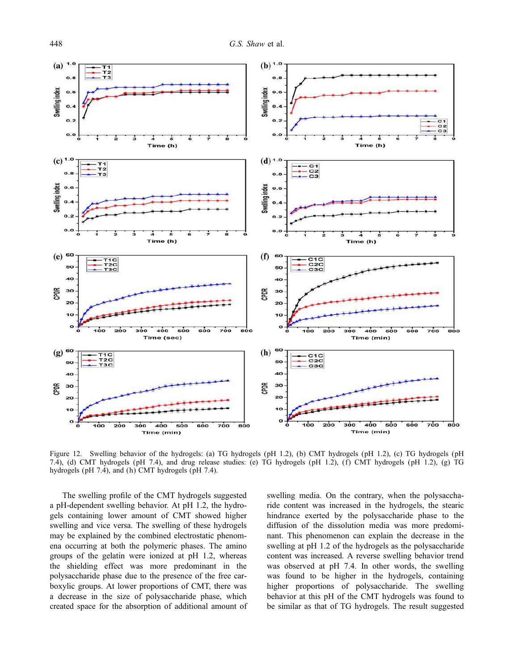

Figure 12. Swelling behavior of the hydrogels: (a) TG hydrogels (pH 1.2), (b) CMT hydrogels (pH 1.2), (c) TG hydrogels (pH 7.4), (d) CMT hydrogels (pH 7.4), and drug release studies: (e) TG hydrogels (pH 1.2), (f ) CMT hydrogels (pH 1.2), (g) TG hydrogels (pH 7.4), and (h) CMT hydrogels (pH 7.4).

The swelling profile of the CMT hydrogels suggested a pH-dependent swelling behavior. At pH 1.2, the hydrogels containing lower amount of CMT showed higher swelling and vice versa. The swelling of these hydrogels may be explained by the combined electrostatic phenomena occurring at both the polymeric phases. The amino groups of the gelatin were ionized at pH 1.2, whereas the shielding effect was more predominant in the polysaccharide phase due to the presence of the free carboxylic groups. At lower proportions of CMT, there was a decrease in the size of polysaccharide phase, which created space for the absorption of additional amount of

swelling media. On the contrary, when the polysaccharide content was increased in the hydrogels, the stearic hindrance exerted by the polysaccharide phase to the diffusion of the dissolution media was more predominant. This phenomenon can explain the decrease in the swelling at pH 1.2 of the hydrogels as the polysaccharide content was increased. A reverse swelling behavior trend was observed at pH 7.4. In other words, the swelling was found to be higher in the hydrogels, containing higher proportions of polysaccharide. The swelling behavior at this pH of the CMT hydrogels was found to be similar as that of TG hydrogels. The result suggested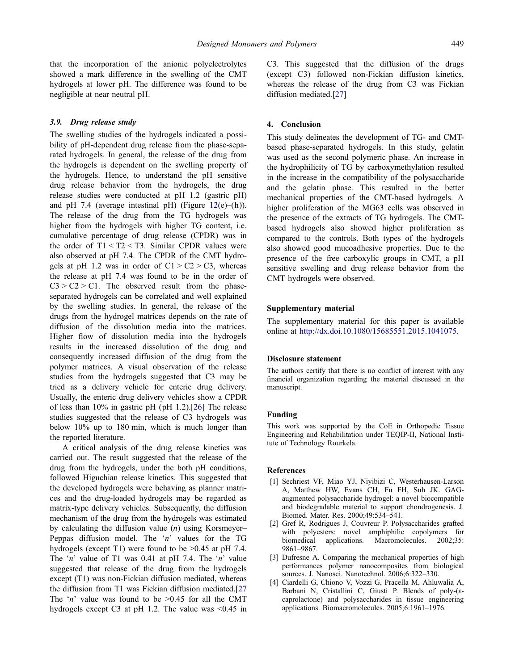that the incorporation of the anionic polyelectrolytes showed a mark difference in the swelling of the CMT hydrogels at lower pH. The difference was found to be negligible at near neutral pH.

### 3.9. Drug release study

The swelling studies of the hydrogels indicated a possibility of pH-dependent drug release from the phase-separated hydrogels. In general, the release of the drug from the hydrogels is dependent on the swelling property of the hydrogels. Hence, to understand the pH sensitive drug release behavior from the hydrogels, the drug release studies were conducted at pH 1.2 (gastric pH) and pH 7.4 (average intestinal pH) (Figure  $12(e)$ –(h)). The release of the drug from the TG hydrogels was higher from the hydrogels with higher TG content, i.e. cumulative percentage of drug release (CPDR) was in the order of  $T1 < T2 < T3$ . Similar CPDR values were also observed at pH 7.4. The CPDR of the CMT hydrogels at pH 1.2 was in order of  $C1 > C2 > C3$ , whereas the release at pH 7.4 was found to be in the order of  $C3 > C2 > C1$ . The observed result from the phaseseparated hydrogels can be correlated and well explained by the swelling studies. In general, the release of the drugs from the hydrogel matrices depends on the rate of diffusion of the dissolution media into the matrices. Higher flow of dissolution media into the hydrogels results in the increased dissolution of the drug and consequently increased diffusion of the drug from the polymer matrices. A visual observation of the release studies from the hydrogels suggested that C3 may be tried as a delivery vehicle for enteric drug delivery. Usually, the enteric drug delivery vehicles show a CPDR of less than 10% in gastric pH (pH 1.2).[26] The release studies suggested that the release of C3 hydrogels was below 10% up to 180 min, which is much longer than the reported literature.

A critical analysis of the drug release kinetics was carried out. The result suggested that the release of the drug from the hydrogels, under the both pH conditions, followed Higuchian release kinetics. This suggested that the developed hydrogels were behaving as planner matrices and the drug-loaded hydrogels may be regarded as matrix-type delivery vehicles. Subsequently, the diffusion mechanism of the drug from the hydrogels was estimated by calculating the diffusion value  $(n)$  using Korsmeyer– Peppas diffusion model. The 'n' values for the TG hydrogels (except T1) were found to be  $>0.45$  at pH 7.4. The 'n' value of T1 was  $0.41$  at pH 7.4. The 'n' value suggested that release of the drug from the hydrogels except (T1) was non-Fickian diffusion mediated, whereas the diffusion from T1 was Fickian diffusion mediated.[27 The 'n' value was found to be  $>0.45$  for all the CMT hydrogels except C3 at pH 1.2. The value was  $\leq 0.45$  in

C3. This suggested that the diffusion of the drugs (except C3) followed non-Fickian diffusion kinetics, whereas the release of the drug from C3 was Fickian diffusion mediated.[27]

## 4. Conclusion

This study delineates the development of TG- and CMTbased phase-separated hydrogels. In this study, gelatin was used as the second polymeric phase. An increase in the hydrophilicity of TG by carboxymethylation resulted in the increase in the compatibility of the polysaccharide and the gelatin phase. This resulted in the better mechanical properties of the CMT-based hydrogels. A higher proliferation of the MG63 cells was observed in the presence of the extracts of TG hydrogels. The CMTbased hydrogels also showed higher proliferation as compared to the controls. Both types of the hydrogels also showed good mucoadhesive properties. Due to the presence of the free carboxylic groups in CMT, a pH sensitive swelling and drug release behavior from the CMT hydrogels were observed.

## Supplementary material

The supplementary material for this paper is available online at http://dx.doi.10.1080/15685551.2015.1041075.

#### Disclosure statement

The authors certify that there is no conflict of interest with any financial organization regarding the material discussed in the manuscript.

#### Funding

This work was supported by the CoE in Orthopedic Tissue Engineering and Rehabilitation under TEQIP-II, National Institute of Technology Rourkela.

#### References

- [1] Sechriest VF, Miao YJ, Niyibizi C, Westerhausen-Larson A, Matthew HW, Evans CH, Fu FH, Suh JK. GAG‐ augmented polysaccharide hydrogel: a novel biocompatible and biodegradable material to support chondrogenesis. J. Biomed. Mater. Res. 2000;49:534–541.
- [2] Gref R, Rodrigues J, Couvreur P. Polysaccharides grafted with polyesters: novel amphiphilic copolymers for biomedical applications. Macromolecules. 2002;35: 9861–9867.
- [3] Dufresne A. Comparing the mechanical properties of high performances polymer nanocomposites from biological sources. J. Nanosci. Nanotechnol. 2006;6:322–330.
- [4] Ciardelli G, Chiono V, Vozzi G, Pracella M, Ahluwalia A, Barbani N, Cristallini C, Giusti P. Blends of poly-(εcaprolactone) and polysaccharides in tissue engineering applications. Biomacromolecules. 2005;6:1961–1976.